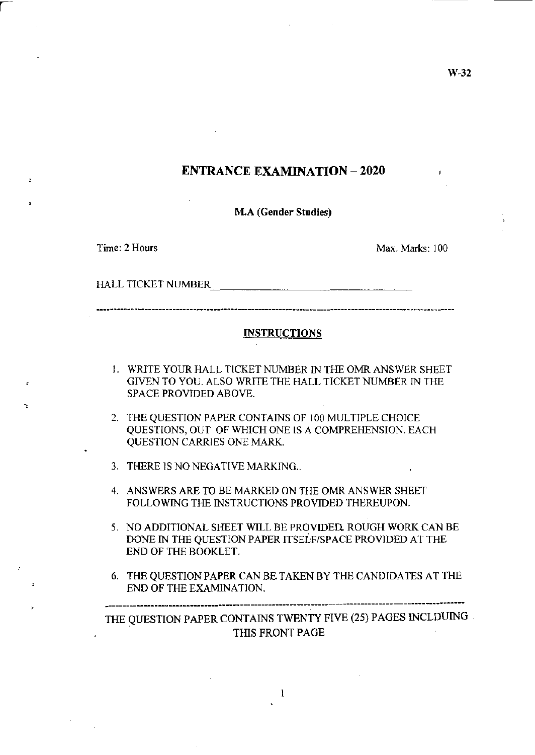# **ENTRANCE EXAMINATION - 2020**

M.A (Gender Studies)

**Time: 2 Hours Max. Marks: 100** 

HALL TICKET NUMBER

---------**-----**--

### **INSTRUCTIONS**

- I. WRITE YOUR HALL TICKET NUMBER IN THE OMR ANSWER SHEET GIVEN TO YOU. ALSO WRITE THE HALL TICKET NUMBER IN THE SPACE PROVIDED ABOVE.
- 2. THE QUESTION PAPER CONTAINS OF 100 MULTIPLE CHOICE QUESTIONS, OUT OF WHICH ONE IS A COMPREHENSION. EACH QUESTION CARRIES ONE MARK.
- 3. THERE IS NO NEGATIVE MARKING..
- 4. ANSWERS ARE TO BE MARKED ON THE OMR ANSWER SHEET FOLLOWING THE INSTRUCTIONS PROVIDED THEREUPON.
- 5. NO ADDITIONAL SHEET WILL BE PROVIDED. ROUGH WORK CAN BE DONE IN THE QUESTION PAPER ITSELF/SPACE PROVIDED AT THE END OF THE BOOKLET.
- 6. THE QUESTION PAPER CAN BE. TAKEN BY THE CANDIDATES AT THE END OF THE EXAMINATION.

**----------------------------------------------------------------------------------------------------** THE qUESTION PAPER CONTAINS TWENTY FIVE (25) PAGES INCLDUING THIS FRONT PAGE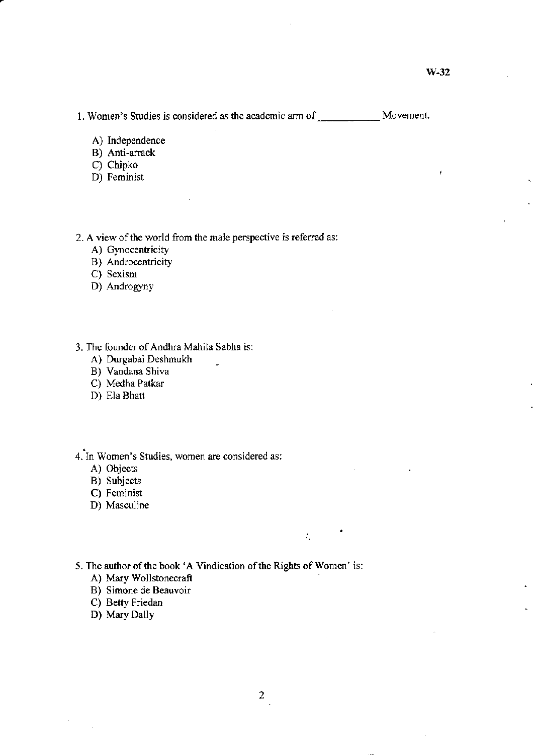- A) Independence
- B) Anti-arrack
- C) Chipko
- D) Feminist

2. A view of the world from the male perspective is referred as:

 $\overline{a}$ 

- A) Gynocentricity
- B) Androcentricity
- C) Sexism
- D) Androgyny
- 3. The founder of Andhra Mahila Sabha is:
	- A) Durgabai Deshmukh
	- B) Vandana Shiva
	- C) Medha Patkar
	- D) Ela Bhatt

# -4. In Women's Studies, women are considered as:

- A) Objects
- B) Subjects
- C) Feminist
- D) Masculine
- 5. The author of the book 'A Vindication of the Rights of Women' is:
	- A) Mary Wollstonecraft
	- B) Simone de Beauvoir
	- C) Betty Friedan
	- D) Mary Dally

 $\ddot{\phantom{1}}$ 

 $\mathcal{I}_\mathrm{c}$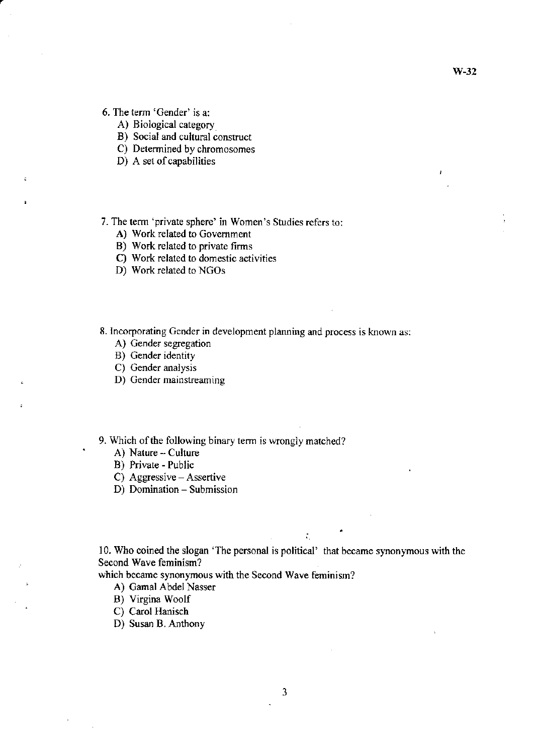- 6. The term 'Gender' is a:
	- A) Biological category
	- B) Social and cultural construct
	- C) Determined by chromosomes
	- D) A set of capabilities
- 7. The term 'private sphere' in Women's Studies refers to:
	- A) Work related to Government
	- B) Work related to private firms
	- C) Work related to domestic activities
	- D) Work related to NGOs
- 8. Incorporating Gender in development planning and process is known as:
	- A) Gender segregation
	- B) Gender identity
	- C) Gender analysis
	- D) Gender mainstreaming
- 9. Which of the following binary term is wrongly matched?
	- A) Nature Culture
	- B) Private Public
	- C) Aggressive Assertive
	- D) Domination Submission

10. Who coined the slogan 'The personal is political' that became synonymous with the Second Wave feminism?

÷.

•

which became synonymous with the Second Wave feminism?

- A) Gamal Abdel Nasser
- B) Virgina Woolf
- C) Carol Hanisch
- D) Susan B. Anthony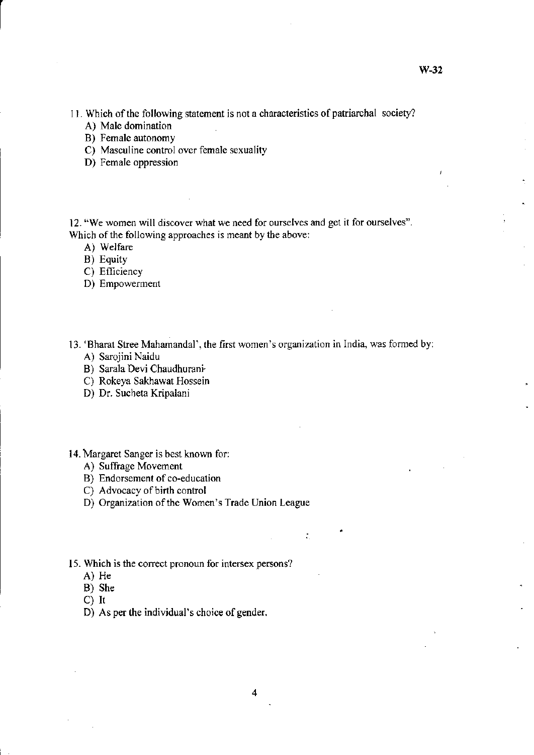- 11. Which of the following statement is not a characteristics of patriarchal society?
	- A) Male domination
	- B) Female autonomy
	- C) Masculine control over female sexuality
	- D) Female oppression

12. "We women will discover what we need for ourselves and get it for ourselves". Which of the following approaches is meant by the above:

- A) Welfare
- B) Equity
- C) Efficiency
- D) Empowerment
- 13. 'Bharat Stree Mahamandal', the first women's organization in India, was formed by:
	- A) Sarojini Naidu
	- B) Sarala Oevi Chaudhurani-
	- C) Rokeya Sakhawat Hossein
	- D) Dr. Sucheta Kripalani
- 14. Margaret Sanger is best known for:
	- A) Suffrage Movement
	- B) Endorsement of co-education
	- C) Advocacy of birth control
	- D) Organization of the Women's Trade Union League
- 15. Which is the correct pronoun for intersex persons?
	- A) He
	- B) She
	- C) It
	- D) As per the individual's choice of gender.

•

 $\mathcal{L}_1$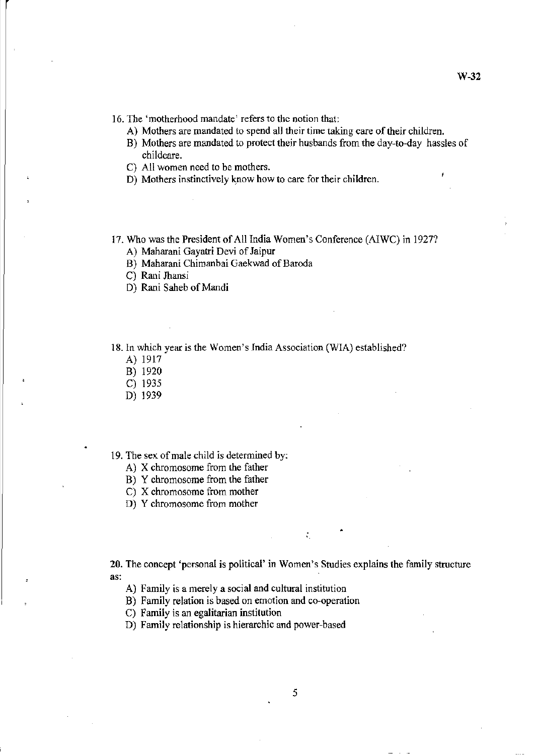16. The 'motherhood mandate' refers to the notion that:

- A) Mothers are mandated to spend all their time taking care of their children.
- B) Mothers are mandated to protect their husbands from the day-to-day hassles of childcare.
- C) All women need to be mothers.
- D) Mothers instinctively know how to care for their children.
- 17. Who was the President of All India Women's Conference (AIWC) in 1927?
	- A) Maharani Gayatri Devi of Jaipur

B) Maharani Chimanbai Gaekwad of Baroda

- C) Rani Jhansi
- D) Rani Saheb of Mandi

18. In which year is the Women's fndia Association (WIA) established?

A) 1917

B) 1920

- C) 1935
- D) 1939
- 19. The sex of male child is determined by:
	- A) X chromosome from the father
	- B) Y chromosome from the father
	- C) X chromosome from mother
	- D) Y chromosome from mother

**20.** The concept 'personal is political' in Women's Studies explains the family structure as:

÷.

•

A) Family is a merely a social and cultural institution

B) Family relation is based on emotion and co-operation

C) Family is an egalitarian institution

D) Family relationship is hierarchic and power-based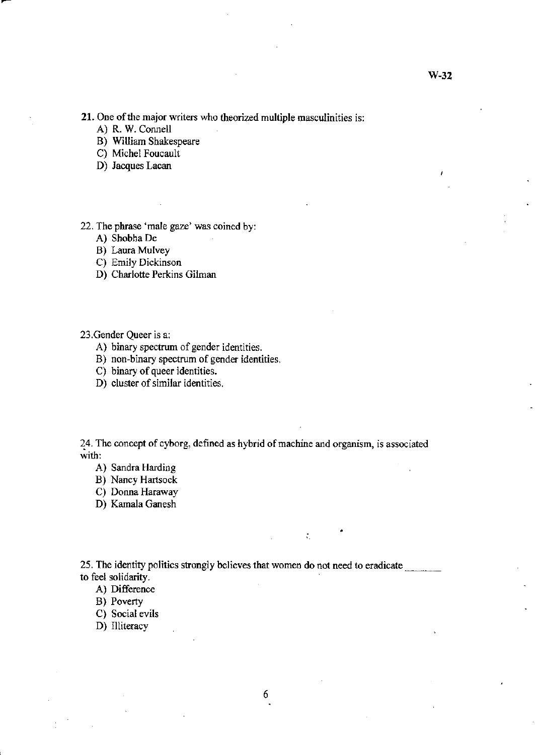**21. One** of the **major writers who theorized multiple masculinities is:** 

A) R. W. Connell

B) William Shakespeare

**C) Michel Foucault** 

**D) Jacques Lacan** 

**22. The phrase 'male gaze' was coined by:** 

A) Shobha De

B) Laura Mulvey

**C) Emily Dickinson** 

D) Charlotte Perkins Gilman

**23.Gender Queer is a:** 

**A) binary spectrum of gender identities.** 

**B)** non~binary **spectrum of gender identities.** 

**C) binary of queer identities.** 

**D) cluster of similar identities.** 

~4. **The concept of cyborg, defined as hybrid of machine and organism, is associated with:** 

A) Sandra Harding

B) Nancy Hartsock

**C) Donna Haraway** 

D) Kamala Ganesh

25. The identity politics strongly believes that women do not need to eradicate *\_\_* \_\_ \_\_ **to feel solidarity.** 

•

 $\zeta_{\rm L}$ 

**A) Difference** 

B) Poverty

**C) Social evils** 

D) Illiteracy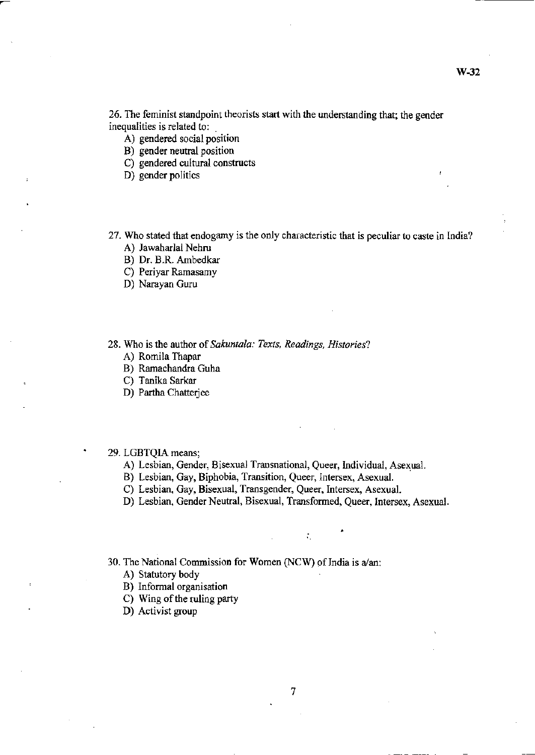26. The feminist standpoint theorists start with the understanding that; the gender inequalities is related to:

A) gendered social position

B) gender neutral position

C) gendered cultural constructs

D) gender politics

27. Who stated that endogamy is the only characteristic that is peculiar to caste in India? A) Jawaharlal Nehru

B) Dr. B.R. Ambedkar

C) Periyar Ramasamy

D) Narayan Guru

28. Who is the author of *Sakuntala: Texts, Readings, Histories?* 

A) Romila Thapar

B) Ramachandra Guha

C) Tanika Sarkar

D) Partha Chatterjee

29. LGBTQIA means;

A) Lesbian, Gender, Bisexual Transnational, Queer, Individual, Asexual.

B) Lesbian, Gay, Biphobia, Transition, Queer, Intersex, Asexual.

C) Lesbian, Gay, Bisexual, Transgender, Queer, Intersex, Asexual.

D) Lesbian, Gender Neutral, Bisexual, Transformed, Queer, Intersex, Asexual .

÷.

•

30. The National Commission for Women (NCW) of India is  $a/m$ :

A) Statutory body

B) Informal organisation

C) Wing of the ruling party

D) Activist group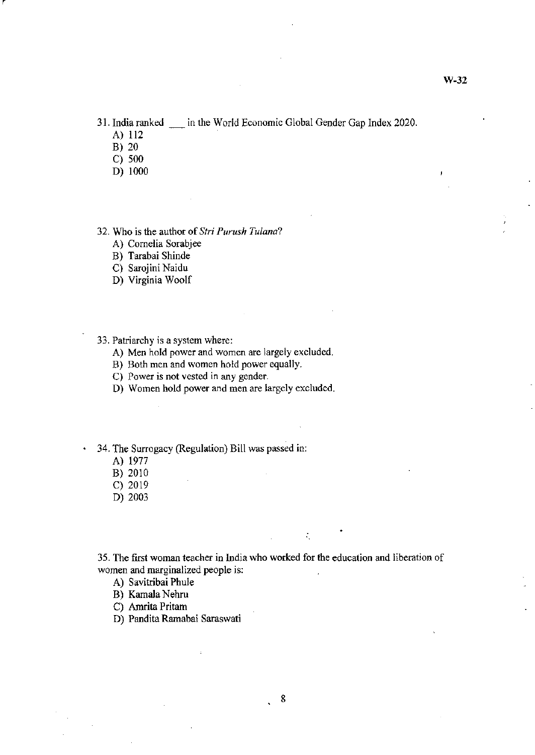31. India ranked ~ in the World Economic Global Gender Gap Index 2020.

- A) 112
- B) 20
- C) 500
- D) 1000

32. Who is the author of *Stri Purush Tulana?* 

- A) Cornelia Sorabjee
- B) Tarabai Shinde
- C) Sarojini Naidu
- D) Virginia Woolf
- 33. Patriarchy is a system where:
	- A) Men hold power and women are largely excluded.
	- B) Both men and women hold power equally.
	- C) Power is not vested in any gender.
	- D) Women hold power and men are largely excluded.
- 34. The Surrogacy (Regulation) Bill was passed in:
	- A) 1977

 $\bullet$ 

- B) 2010
- C) 2019
- D) 2003

35. The first woman teacher in India who worked for the education and liberation of women and marginalized people is:

÷,

- A) Savitribai Phule
- B) Kamala Nehru
- C) Amrita Pritam
- D) Pandita Ramabai Saraswati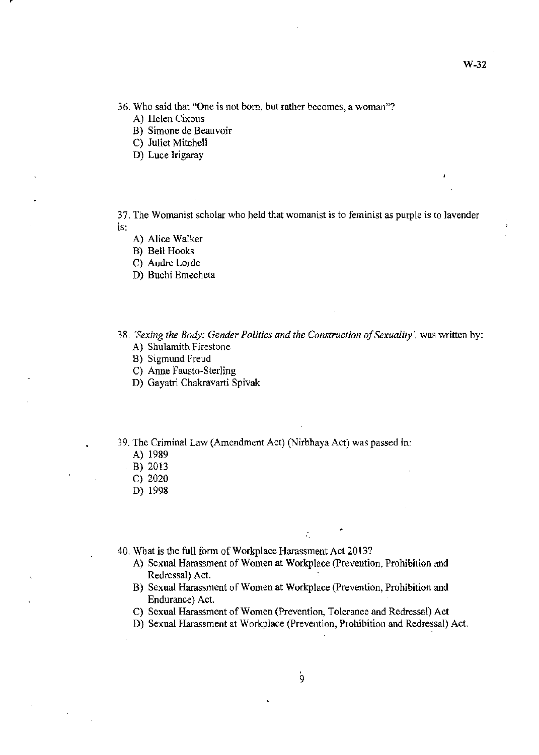36. Who said that "One is not born, but rather becomes, a woman"?

A) Helen Cixous

B) Simone de Beauvoir

C) Juliet Mitchell

D) Luce Irigaray

37. The Womanist scholar who held that womanist is to feminist as purple is to lavender is:

- A) Alice Walker
- B) Bell Hooks
- C) Audre Lorde
- D) Buehi Emecheta

*38. 'Sexing the Body: Gender Politics and the Construction o/Sexuality',* was written by:

- A) Shulamith Firestone
- B) Sigmund Freud
- C) Anne Fausto-Sterling
- D) Gayatri Chakravarti Spivak

39. The Criminal Law (Amendment Act) (Nirbhaya Act) was passed in:

- A) 1989
- B) 2013
- C) 2020
- D) 1998

40. What is the full form of Workplace Harassment Act 2013?

A) Sexual Harassment of Women at Workplace (Prevention, Prohibition and Redressa1) Act.

- B) Sexual Harassment of Women at Workplace (Prevention, Prohibition and Endurance) Act.
- C) Sexual Harassment of Women (Prevention, Tolerance and Redressal) Act
- D) Sexual Harassment at Workplace (Prevention, Prohibition and Redressal) Act.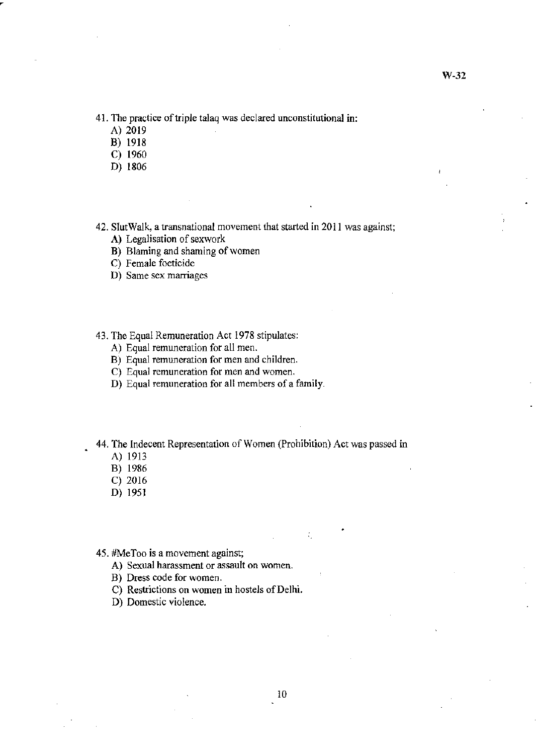- 41. The practice of triple talaq was declared unconstitutional in:
	- A) 2019
	- B) 1918
	- C) 1960
	- D) 1806

42. SlutWalk, a transnational movement that started in 2011 was against;

- A) Legalisation of sexwork
- **B)** Blaming and shaming of women
- C) Female foeticide
- D) Same sex marriages
- 43. The Equal Remuneration Act 1978 stipulates:
	- A) Equal remuneration for all men.
	- B) Equal remuneration for men and children.
	- C) Equal remuneration for men and women.
	- D) Equal remuneration for all members of a family.
- 44. The Indecent Representation of Women (Prohibition) Act was passed in
	- A) 1913
	- B) 1986
	- C) 2016
	- D) 1951

### 45. #MeToo is a movement against;

- A) Sexual harassment or assault on women.
- B) Dress code for women.
- C) Restrictions on women in hostels of Delhi.
- D) Domestic violence.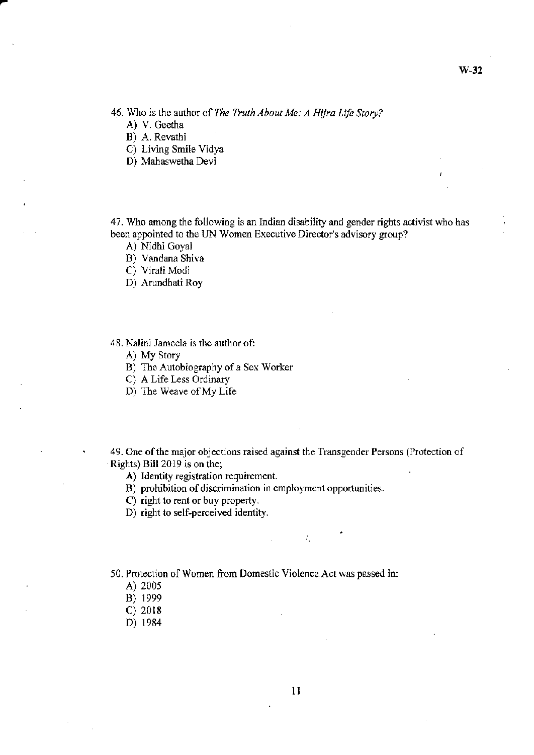46. Who is the author of *The Truth About Me: A Hijra Life Story?* 

A) V. Geetha

B) A. Revathi

C) Living Smile Vidya

0) Mahaswetha Oevi

47. Who among the following is an Indian disability and gender rights activist who has been appointed to the UN Women Executive Director's advisory group?

A) Nidhi Goyal

B) Vandana Shiva

C) Virali Modi

0) Arundhati Roy

48. Nalini Iameela is the author of:

A) My Story

B) The Autobiography of a Sex Worker

C) A Life Less Ordinary

0) The Weave of My Life

49. One of the major objections raised against the Transgender Persons (Protection of Rights) Bill 2019 is on the;

 $\mathcal{L}$ 

A) Identity registration requirement.

B) prohibition of discrimination in employment opportunities.

C) right to rent or buy property.

D) right to self-perceived identity.

50. Protection of Women from Domestic Violence Act was passed in:

A) 2005

B) 1999

C) 2018

0) 1984

II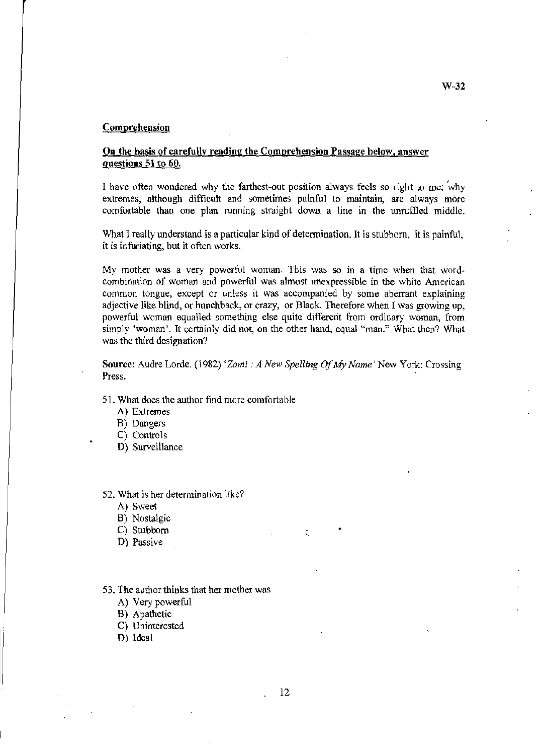### Comprehension

## On tbe basis of carefully reading the Comprehension Passage below. answer questions 51 to 60.

I have often wondered why the farthest-out position always feels so right to me; 'why extremes, although difficult and sometimes painful to maintain, are always more comfortable than one plan running straight down a line in the unruffled middle.

What I really understand is a particular kind of determination. It is stubborn, it is painful, it is infuriating, but it often works.

My mother was a very powerful woman. This was so in a time when that wordcombination of woman and powerful was almost unexpressible in the white American common tongue, except or unless it was accompanied by some aberrant explaining adjective like blind, or hunchback, or crazy, or Black. Therefore when I was growing up, powerful woman equalled something else quite different from ordinary woman, from simply 'woman'. It certainly did not, on the other hand, equal "man." What then? What was the third designation?

Source: Audre Lorde. (1982) 'Zami : A New Spelling Of My Name' New York: Crossing Press.

- 51. What does the author find more comfortable
	- A) Extremes
	- B) Dangers
	- C) Controls
	- D) Surveillance
- 52. What is her determination like?
	- A) Sweet
	- B) Nostalgic
	- C) Stubborn
	- D) Passive

#### 53. The author thinks that her mother was

- A) Very powerful
- B) Apathetic
- C) Uninterested
- D) Ideal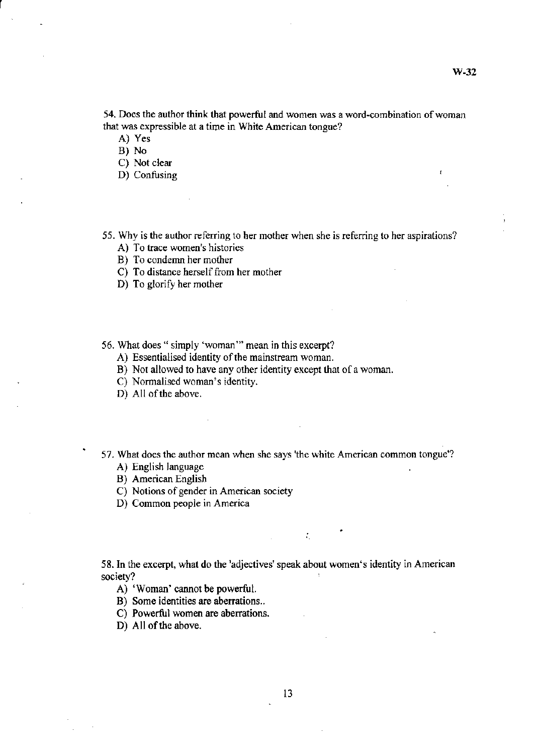54. Does the author think that powerful and women was a word-combination of woman that was expressible at a time in White American tongue?

A) Yes

r

B) No

C) Not clear

- D) Confusing
- 55. Why is the author referring to her mother when she is referring to her aspirations? A) To trace women's histories
	- B) To condemn her mother
	- C) To distance herself from her mother
	- D) To glorify her mother
- 56. What does " simply 'woman'" mean in this excerpt?
	- A) Essentialised identity of the mainstream woman.
	- B) Not allowed to have any other identity except that of a woman.
	- C) Normalised woman's identity.
	- D) All of the above.
- 57. What does the author mean when she says 'the white American common tongue'? A) English language
	- B) American English
	- C) Notions of gender in American society
	- D) Common people in America

58. In the excerpt, what do the 'adjectives' speak about women's identity in American society?

 $\mathcal{L}_{\mathrm{max}}$ 

- A) 'Woman' cannot be powerful.
- B) Some identities are aberrations..
- C) Powerful women are aberrations.
- D) All of the above.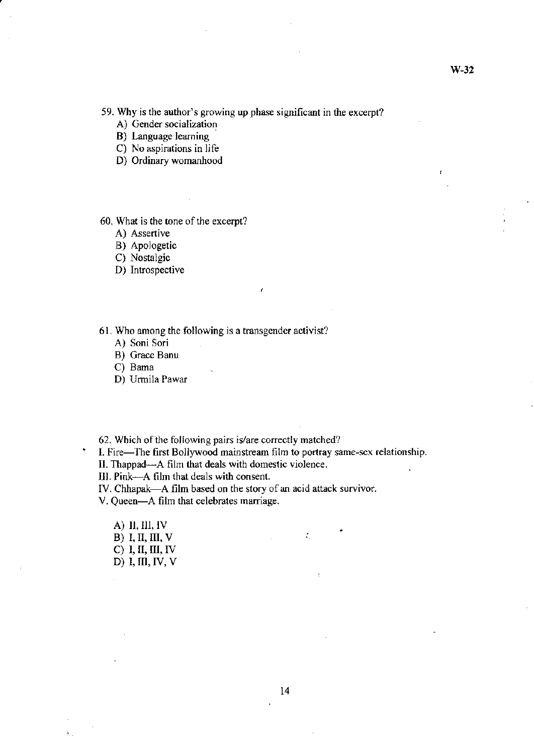59. Why is the author's growing up phase significant in the excerpt?

A) Gender socialization

- B) Language learning
- C) No aspirations in life
- D) Ordinary womanhood

60. What is the tone of the excerpt?

A) Assertive

,

B) Apologetic

C) Nostalgic

D) Introspective

61. Who among the following is a transgender activist?

- A) Soni Sori
- B) Grace Banu

C) Bama

 $\bullet$ 

D) Urmila Pawar

62. Which of the foJlowing pairs is/are correctly matched?

I. Fire-The first Bollywood mainstream film to portray same-scx relationship.

 $\overline{a}$ 

II. Thappad—A film that deals with domestic violence.

Ill. Pink-A film that deals with consent.

IV. Chhapak-A film based on the story of an acid attack survivor.

V. Queen-A film that celebrates marriage.

A) II, Ill, IV B) I, II, III, V C) I, n, 1lI, IV D) I, 1lI, IV, V

 $\mathcal{L}_\mathrm{c}$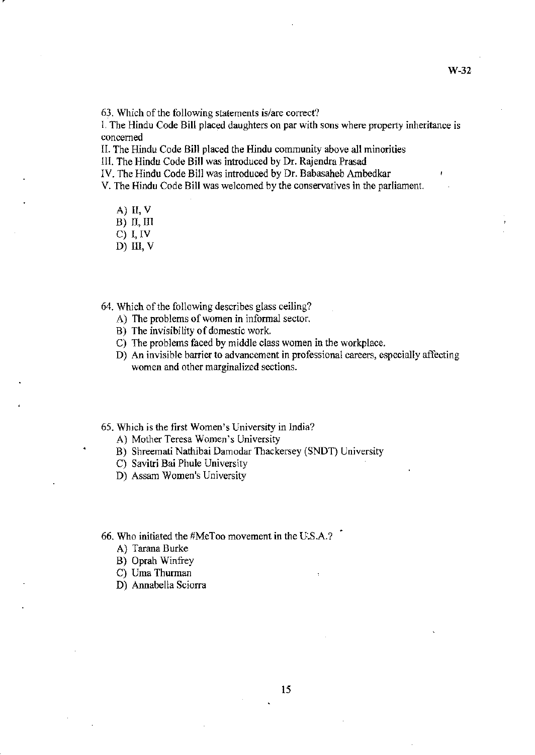63. Which of the following statements is/arc correct?

I. The Hindu Code Bill placed daughters on par with sons where property inheritance is concerned

II. The Hindu Code Bill placed the Hindu community above all minorities

III. The Hindu Code Bill was introduced by Dr. Rajendra Prasad

IV. The Hindu Code Bill was introduced by Dr. Babasaheb Ambedkar

V. The Hindu Code Bill was welcomed by the conservatives in the parliament.

A) II, V B) n, III C) I, IV

- D) III, V
- 

64. Which of the following describes glass ceiling?

- A) The problems of women in informal sector.
- B) The invisibility of domestic work.
- C) The problems faced by middle class women in the workplace.
- D) An invisible barrier to advancement in professional careers, especially affecting women and other marginalized sections.

65. Which is the first Women's University in India?

- A) Mother Teresa Women's University
- B) Shreemati Nathibai Damodar Thackersey (SNDT) University
- C) Savitri Bai Phule University
- D) Assam Women's University

66. Who initiated the #MeToo movement in the U.S.A.?

- A) Tarana Burke
- B) Oprah Winfrey
- C) Uma Thurman
- D) Annabella Sciorra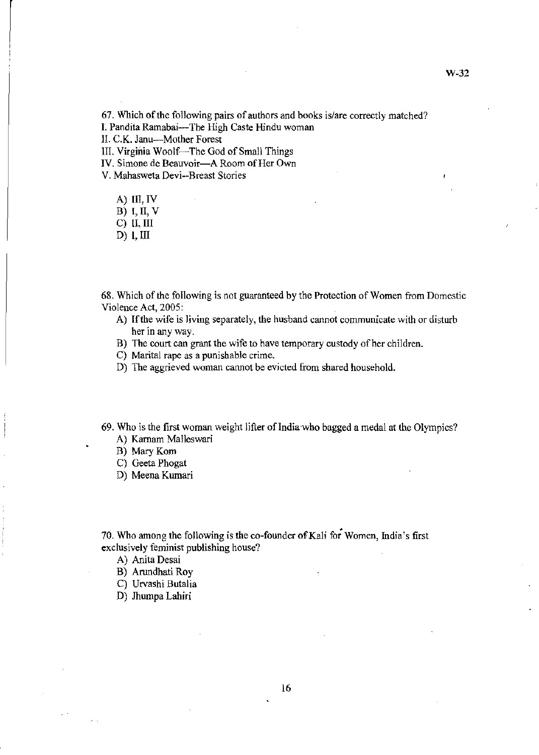67. Which of the following pairs of authors and books is/are correctly matched? I. Pandita Ramabai-The High Caste Hindu woman

II. C.K. Janu---Mother Forest

III. Virginia Woolf-The God of Small Things

IV. Simone de Beauvoir-A Room of Her Own

V. Mahasweta Devi--Breast Stories

A) III, IV B) T, II, V C) II, III

 $\vert$ 

D) I, III

68. Which of the following is not guaranteed by the Protection of Women from Domestic Violence Act, 2005:

- A) If the wife is living separately, the husband cannot communicate with or disturb her in any way.
- B) The court can grant the wife to have temporary custody of her children.
- C) Marital rape as a punishable crime.
- D) The aggrieved woman cannot be evicted from shared household.
- 69. Who is the first woman weight lifter of India who bagged a medal at the Olympics? A) Kamam Malleswari
	- B) MaryKom
	- C) Geeta Phogat
	- D) Meena Kumari

70. Who among the following is the co-founder of Kali for Women, India's first exclusively feminist publishing house?

- A) Anita Desai
- B) Arundhati Roy
- C) Urvashi Butalia
- D) Jhumpa Lahiri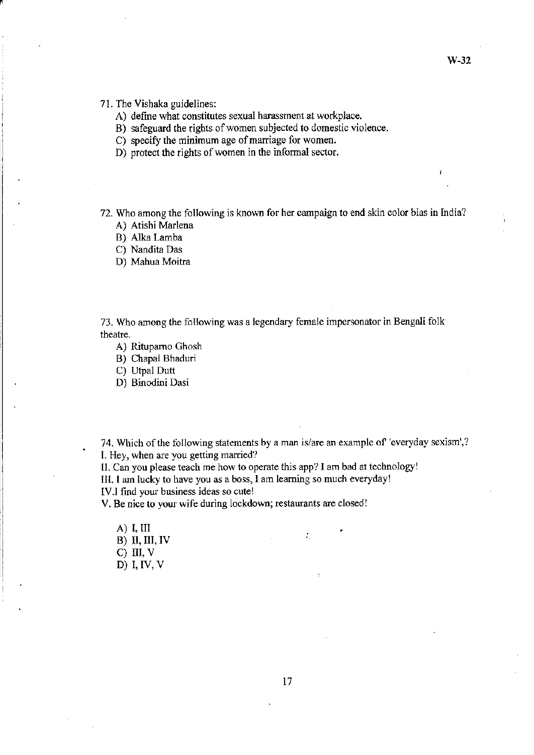#### 71. The Vishaka guidelines:

"<br>"

- A) define what constitutes sexual harassment at workplace.
- B) safeguard the rights of women subjected to domestic violence.
- C) specify the minimum age of marriage for women.
- D) protect the rights of women in the informal sector.

72. Who among the following is known for her campaign to end skin color bias in India?

- A) Atishi Marlena
- 8) Alka Lamba
- C) Nandita Das
- D) Mabua Moitra

73. Who among the following was a legendary female impersonator in Bengali folk theatre.

- A) Ritupamo Ghosh
- B) Chapal Bhaduri

C) Utpal Dutt

D) Binodini Dasi

74. Which of the following statements by a man is/are an example of 'everyday sexism',? I. Hey, when are you getting married?

÷.

[I. Can you please teach me how to operate this app? I am bad at technology!

IlL I am lucky to have you as a boss, I am learning so much everyday!

IV.I find your business ideas so cute!

V. Be nice to your wife during lockdown; restaurants are closed!

A) I, III 8) 11, Ill, IV C) III, V D) I, IV, V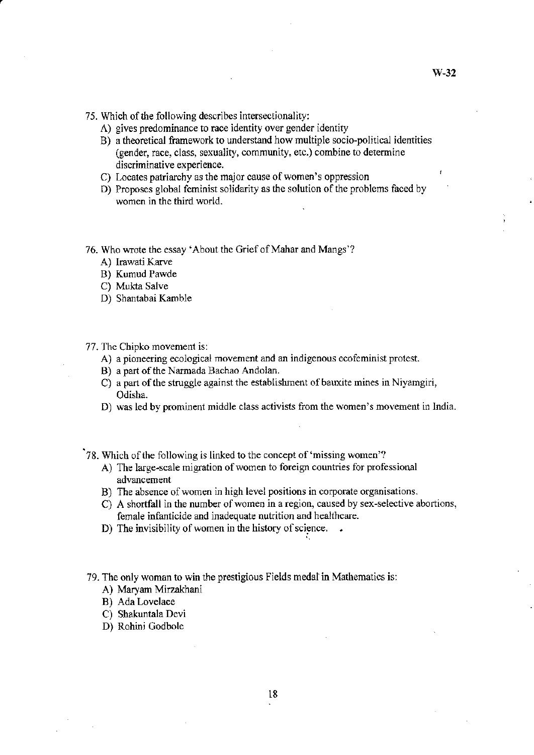- 75. Which of the following describes intersectionality:
	- A) gives predominance to race identity over gender identity
	- B) a theoretical framework to understand how multiple socia-political identities (gender, race, class, sexuality, community, etc.) combine to determine discriminative experience.
	- C) Locates patriarchy as the major cause of women's oppression
	- 0) Proposes global feminist solidarity as the solution of the problems faced by women in the third world.
- 76. Who wrote the essay 'About the Grief of Mahar and Mangs'?
	- A) Irawati Karve
	- B) Kumud Pawde
	- C) Mukta Salve
	- D) Shantabai Kamble
- 77. The Chipko movement is:
	- A) a pioneering ecological movement and an indigenous ecofeminist protest.
	- B) a part of the Narmada Bachao Andolan.
	- C) a part of the struggle against the establislunent of bauxite mines in Niyamgiri, Odisha.
	- D) was led by prominent middle class activists from the women's movement in India .
- 78. Which of the following is linked to the concept of 'missing women'?
	- A) The large-scale migration of women to foreign countries for professional advancement
	- B) The absence of women in high level positions in corporate organisations.
	- C) A shortfall in the number of women in a region, caused by sex-selective abortions, female infanticide and inadequate nutrition and healthcare.
	- D) The invisibility of women in the history of science.

79. The only woman to win the prestigious Fields medal' in Mathematics is:

- A) Maryam Mirzakhani
- B) Ada Lovelace
- C) Shakuntala Devi
- D) Rohini Godbole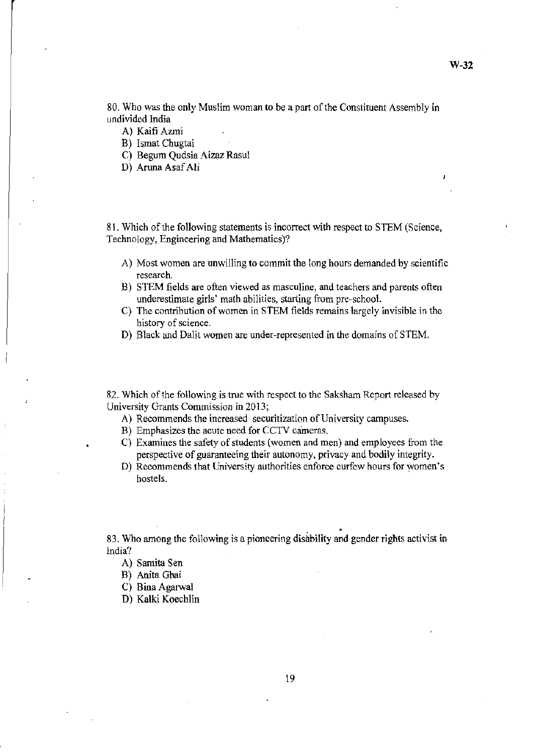80. Who was the only Muslim woman to be a part of the Constituent Assembly in undivided India

- A) Kaifi Azmi
- B) Ismat Chugtai
- C) Begum Qudsia Aizaz RasuI
- D) Aruna Asaf Ali

81. Which of the following statements is incorrect with respect to STEM (Science, Technology, Engineering and Mathematics)?

- A) Most women are unwilling to commit the long hours demanded by scientific research.
- B) STEM fields are often viewed as masculine, and teachers and parents often underestimate girls' math abilities, starting from pre-school.
- C) The contribution of women in STEM fields remains largely invisible in the history of science.
- D) Black and Dalit women are under-represented in the domains of STEM.

82. Which of the following is true with respect to the Saksham Report released by University Grants Commission in 2013;

- A) Recommends the increased securitization of University campuses.
- B) Emphasizes the acute need for CCTV cameras.
- C) Examines the safety of students (women and men) and employees from the perspective of guaranteeing their autonomy, privacy and bodily integrity.
- D) Recommends that University authorities enforce curfew hours for women's hostels.

83. Who among the following is a pioneering disability and gender rights activist in India?

- A) Samita Sen
- B) Anita Ghai
- C) Bina Agarwal
- D) KaIki Koechlin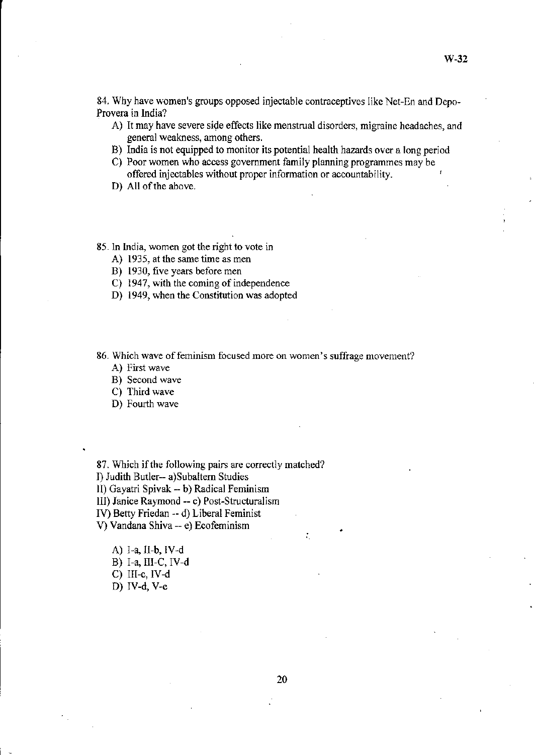84. Why have women's groups opposed injectable contraceptives like Net-En and Depo-Provera in India?

- A) It may have severe side effects like menstrual disorders, migraine headaches, and general weakness, among others.
- B) India is not equipped to monitor its potential health hazards over a long period
- C) Poor women who access government family planning programmes may be offered injectables without proper infonnation or accountability.
- D) All of the above.

85. In India, women got the right to vote in

A) 1935, at the same time as men

B) 1930, five years before men

C) 1947, with the coming of independence

D) 1949, when the Constitution was adopted

86. Which wave of feminism focused more on women's suffrage movement?

- A) First wave
- B) Second wave
- C) Third wave
- D) Fourth wave

87. Which if the following pairs are correctly matched?

I) Judith Butler-- a)Subaltem Studies

II) Gayatri Spivak -- b) Radical Feminism

1II) Janice Raymond **--** c) Post-Structuralism

IV) Betty Friedan -- d) Liberal Feminist

V) Vandana Shiva -- e) Ecofeminism

A) I-a, II-b, IV-d B) I-a, III-C, IV-d

C) III-c,IV-d

D) IV-d, V-e

 $\blacksquare$ 

 $\mathcal{L}^{\text{max}}$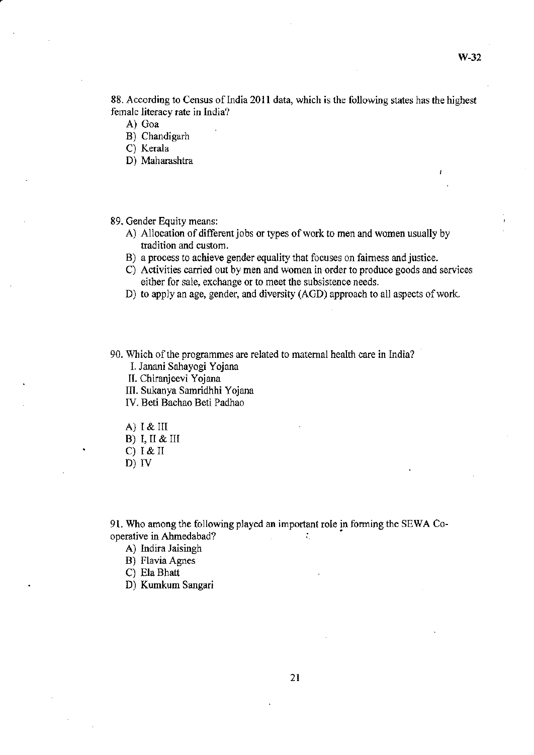88. According to Census of India 2011 data, which is the following states has the highest female literacy rate in India?

- A) Goa
- B) Chandigarh
- C) Kerala
- D) Maharashtra

89. Gender Equity means:

- A) Allocation of different jobs or types of work to men and women usually by tradition and custom.
- B) a process to achieve gender equality that focuses on fairness and justice.
- C) Activities carried out by men and women in order to produce goods and services either for sale, exchange or to meet the subsistence needs.
- D) to apply an age, gender, and diversity (AGD) approach to all aspects of work.

90. Which of the programmes are related to maternal health care in India?

- I. Janani Sahayogi Yojana
- II. Chiranjeevi Yojana
- III. Sukanya Samridhhi Yojana
- IV. Beti Bachao Beti Padhao
- A) I & III
- B) I, II & III
- C) I & II
- D) IV

91. Who among the following played an important role in forming the SEWA Cooperative in Ahmedabad? :. <sup>~</sup>

- A) Indira Jaisingh
- B) Flavia Agnes
- C) Ela Bhatt
- D) Kumkum Sangari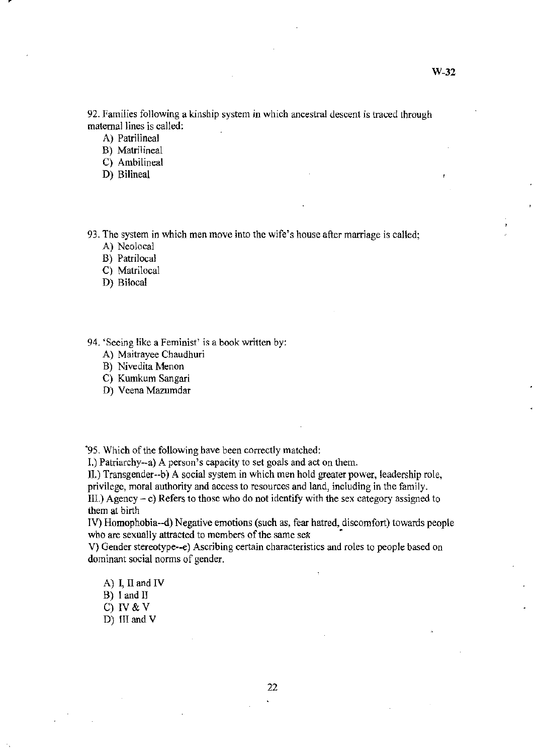92. Families following a kinship system in which ancestral descent is traced through maternal lines is called:

A) Patrilineal

- B) Matrilineal
- C) Ambilineal
- D) Bilineal

93. The system in which men move into the wife's house after marriage is called;

- A) Neolocal
- B) Patrilocal
- C) Matrilocal
- D) Bilocal

94. 'Seeing like a Feminist' is a book written by:

- A) Maitrayee Chaudhuri
- B) Nivedita Menon
- C) Kumkum Sangari
- D) Veena Mazumdar

"95. Which of the following have been correctly matched:

I.) Patriarchy--a) A person's capacity to set goals and act on them.

II.) Transgender--b) A social system in which men hold greater power, leadership role,

privilege, moral authority and access to resources and land, including in the family.

III.) Agency  $-c$ ) Refers to those who do not identify with the sex category assigned to them at birth

IV) Homophobia--d) Negative emotions (such *as,* fear hatred, discomfort) towards people who are sexually attracted to members of the same sex

V) Gender stereotype--e) Ascribing certain characteristics and roles to people based on dominant social norms of gender.

- A) I, II and IV
- B) I and II
- C) IV & V
- D) III and V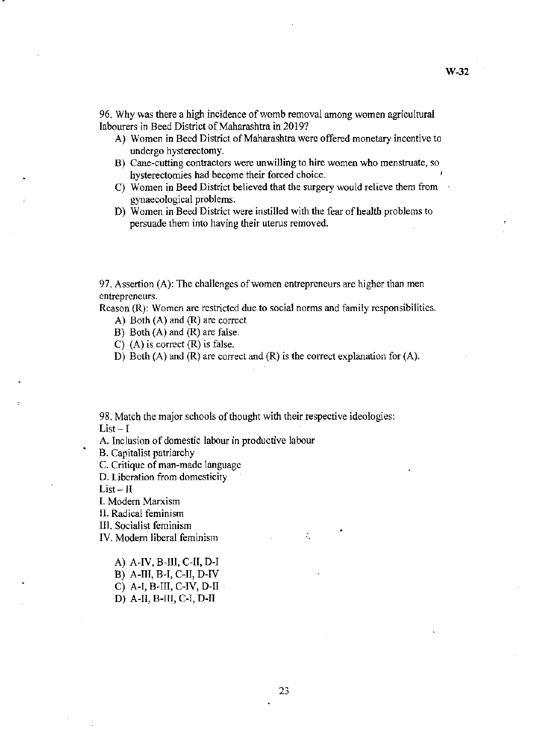**96. Why was there a high incidence** of womb **removal among women agricultural**  labourers in Beed District of Maharashtra in 2019?

- **A) Women in Seed District** of Maharashtra **were offered monetary incentive to undergo hysterectomy.**
- **B) Cane-cutting contractors were unwilling to hire women who menstruate, so hysterectomies had become their forced choice.**
- **C) Women in Beed District believed that the surgery would relieve them from gynaecological problems.**
- **D) Women in Beed District were instilled with the fear** of health **problems to persuade them into having their uterus removed.**

**97. Assertion (A): The challenges** of women **entrepreneurs are higher than men entrepreneurs.** 

**Reason (R): Women are restricted due to social norms and family responsibilities.** 

A) Both (A) and (R) are correct

B) Both (A) and (R) are false.

- C) (A) is correct (R) is false.
- D) Both (A) and (R) are correct and (R) is the correct explanation for (A).

**98. Match the major schools ofthought with their respective ideologies: List - I** 

A. Inclusion of domestic labour in productive labour

**B. Capitalist patriarchy** 

**C. Critique of man-made language** 

**D. Liberation from domesticity** 

 $List - II$ 

**I. Modern Marxism** 

**II. Radical feminism** 

**III. Socialist feminism** 

**IV. Modern liberal feminism** 

A) A-IV, B-Ill, C-lI, D-I B) A-III, B-1, C-lI, D-IV

C) A-I, B-III, C-IV, D-ll

D) A-II, B-IIl, C-I, D-II

•